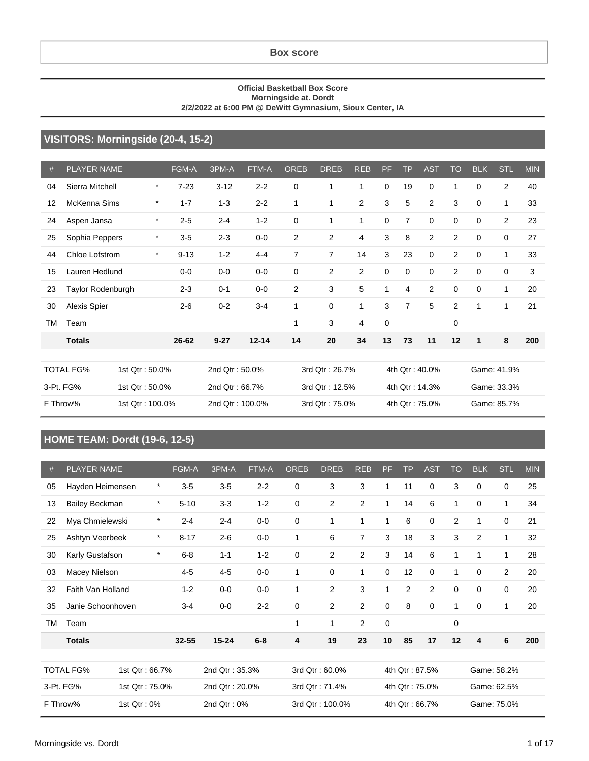#### **Official Basketball Box Score Morningside at. Dordt 2/2/2022 at 6:00 PM @ DeWitt Gymnasium, Sioux Center, IA**

#### **VISITORS: Morningside (20-4, 15-2)**

| #  | <b>PLAYER NAME</b>  |                 | <b>FGM-A</b> | 3PM-A           | FTM-A     | <b>OREB</b>    | <b>DREB</b>    | <b>REB</b>     | PF          | <b>TP</b>      | <b>AST</b>     | <b>TO</b>      | <b>BLK</b>  | <b>STL</b>     | <b>MIN</b> |
|----|---------------------|-----------------|--------------|-----------------|-----------|----------------|----------------|----------------|-------------|----------------|----------------|----------------|-------------|----------------|------------|
| 04 | Sierra Mitchell     | $\ast$          | $7 - 23$     | $3 - 12$        | $2 - 2$   | 0              | $\mathbf 1$    | 1              | $\mathbf 0$ | 19             | $\mathbf 0$    | 1              | $\mathbf 0$ | 2              | 40         |
| 12 | McKenna Sims        | $\star$         | $1 - 7$      | $1 - 3$         | $2 - 2$   | 1              | $\mathbf{1}$   | $\overline{c}$ | 3           | 5              | $\overline{2}$ | 3              | $\Omega$    | 1              | 33         |
| 24 | Aspen Jansa         | $\ast$          | $2 - 5$      | $2 - 4$         | $1 - 2$   | $\mathbf 0$    | $\mathbf{1}$   | 1              | $\mathbf 0$ | $\overline{7}$ | $\mathbf 0$    | 0              | $\mathbf 0$ | $\overline{2}$ | 23         |
| 25 | Sophia Peppers      | $\ast$          | $3-5$        | $2 - 3$         | $0-0$     | $\overline{2}$ | 2              | $\overline{4}$ | 3           | 8              | $\overline{2}$ | $\overline{2}$ | $\Omega$    | 0              | 27         |
| 44 | Chloe Lofstrom      | $\star$         | $9 - 13$     | $1 - 2$         | $4 - 4$   | $\overline{7}$ | $\overline{7}$ | 14             | 3           | 23             | $\mathbf 0$    | $\overline{2}$ | $\mathbf 0$ | 1              | 33         |
| 15 | Lauren Hedlund      |                 | $0-0$        | $0-0$           | $0-0$     | $\mathbf 0$    | 2              | $\overline{c}$ | $\mathbf 0$ | $\mathbf 0$    | $\mathbf 0$    | $\overline{2}$ | $\Omega$    | 0              | 3          |
| 23 | Taylor Rodenburgh   |                 | $2 - 3$      | $0 - 1$         | $0-0$     | $\overline{2}$ | 3              | 5              | 1           | 4              | $\overline{2}$ | 0              | $\mathbf 0$ | $\mathbf{1}$   | 20         |
| 30 | <b>Alexis Spier</b> |                 | $2 - 6$      | $0 - 2$         | $3 - 4$   | 1              | 0              | 1              | 3           | $\overline{7}$ | 5              | 2              | 1           | 1              | 21         |
| TM | Team                |                 |              |                 |           | 1              | 3              | $\overline{4}$ | 0           |                |                | 0              |             |                |            |
|    | <b>Totals</b>       |                 | 26-62        | $9 - 27$        | $12 - 14$ | 14             | 20             | 34             | 13          | 73             | 11             | 12             | 1           | 8              | 200        |
|    |                     |                 |              |                 |           |                |                |                |             |                |                |                |             |                |            |
|    | <b>TOTAL FG%</b>    | 1st Qtr: 50.0%  |              | 2nd Qtr: 50.0%  |           |                | 3rd Qtr: 26.7% |                |             |                | 4th Qtr: 40.0% |                |             | Game: 41.9%    |            |
|    | 3-Pt. FG%           | 1st Qtr: 50.0%  |              | 2nd Qtr: 66.7%  |           |                | 3rd Qtr: 12.5% |                |             |                | 4th Qtr: 14.3% |                |             | Game: 33.3%    |            |
|    | F Throw%            | 1st Qtr: 100.0% |              | 2nd Qtr: 100.0% |           |                | 3rd Qtr: 75.0% |                |             |                | 4th Qtr: 75.0% |                |             | Game: 85.7%    |            |

#### **HOME TEAM: Dordt (19-6, 12-5)**

| #  | <b>PLAYER NAME</b>    |                | FGM-A    | 3PM-A          | FTM-A   | <b>OREB</b> | <b>DREB</b>     | <b>REB</b>     | PF           | <b>TP</b>      | <b>AST</b>  | <b>TO</b>   | <b>BLK</b>     | <b>STL</b>     | <b>MIN</b> |
|----|-----------------------|----------------|----------|----------------|---------|-------------|-----------------|----------------|--------------|----------------|-------------|-------------|----------------|----------------|------------|
| 05 | Hayden Heimensen      | $\star$        | $3-5$    | $3-5$          | $2 - 2$ | 0           | 3               | 3              | 1            | 11             | 0           | 3           | $\Omega$       | 0              | 25         |
| 13 | <b>Bailey Beckman</b> | $\star$        | $5 - 10$ | $3-3$          | $1 - 2$ | $\mathbf 0$ | $\overline{2}$  | $\overline{2}$ | $\mathbf{1}$ | 14             | 6           | 1           | $\mathbf 0$    | $\mathbf{1}$   | 34         |
| 22 | Mya Chmielewski       | $\star$        | $2 - 4$  | $2 - 4$        | $0-0$   | $\mathbf 0$ | 1               | 1              | 1            | 6              | $\mathbf 0$ | 2           | 1              | 0              | 21         |
| 25 | Ashtyn Veerbeek       | $\star$        | $8 - 17$ | $2 - 6$        | $0-0$   | 1           | 6               | $\overline{7}$ | 3            | 18             | 3           | 3           | $\overline{2}$ | 1              | 32         |
| 30 | Karly Gustafson       | $\star$        | $6 - 8$  | $1 - 1$        | $1 - 2$ | $\mathbf 0$ | $\overline{2}$  | $\overline{2}$ | 3            | 14             | 6           | 1           | 1              | 1              | 28         |
| 03 | Macey Nielson         |                | $4 - 5$  | $4 - 5$        | $0-0$   | 1           | 0               | 1              | $\mathbf 0$  | 12             | $\mathbf 0$ | 1           | $\mathbf 0$    | $\overline{2}$ | 20         |
| 32 | Faith Van Holland     |                | $1 - 2$  | $0-0$          | $0-0$   | 1           | $\overline{2}$  | 3              | $\mathbf{1}$ | 2              | 2           | $\mathbf 0$ | $\mathbf 0$    | 0              | 20         |
| 35 | Janie Schoonhoven     |                | $3 - 4$  | $0-0$          | $2 - 2$ | 0           | $\overline{2}$  | 2              | 0            | 8              | $\mathbf 0$ | 1           | $\mathbf 0$    | 1              | 20         |
| TM | Team                  |                |          |                |         | 1           | 1               | $\overline{2}$ | $\mathbf 0$  |                |             | $\mathbf 0$ |                |                |            |
|    | <b>Totals</b>         |                | 32-55    | $15 - 24$      | $6-8$   | 4           | 19              | 23             | 10           | 85             | 17          | 12          | 4              | 6              | 200        |
|    |                       |                |          |                |         |             |                 |                |              |                |             |             |                |                |            |
|    | <b>TOTAL FG%</b>      | 1st Qtr: 66.7% |          | 2nd Qtr: 35.3% |         |             | 3rd Qtr: 60.0%  |                |              | 4th Qtr: 87.5% |             |             |                | Game: 58.2%    |            |
|    | 3-Pt. FG%             | 1st Qtr: 75.0% |          | 2nd Qtr: 20.0% |         |             | 3rd Qtr: 71.4%  |                |              | 4th Qtr: 75.0% |             |             |                | Game: 62.5%    |            |
|    | F Throw%              | 1st Qtr: 0%    |          | 2nd Qtr: 0%    |         |             | 3rd Qtr: 100.0% |                |              | 4th Qtr: 66.7% |             |             |                | Game: 75.0%    |            |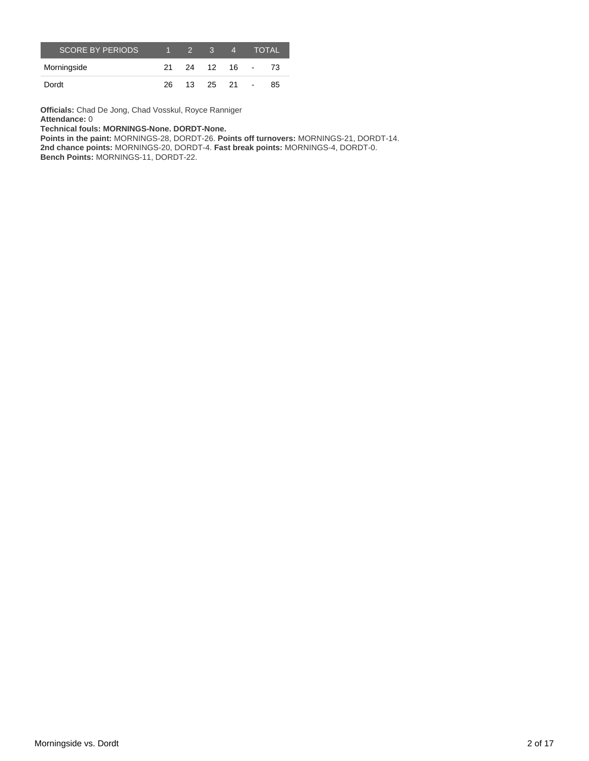| <b>SCORE BY PERIODS</b> | $1 \quad 2 \quad 3$ | 4                 | <b>TOTAL</b> |
|-------------------------|---------------------|-------------------|--------------|
| Morningside             |                     | 21  24  12  16  - | - 73         |
| Dordt                   |                     | 26 13 25 21 -     | 85           |

**Officials:** Chad De Jong, Chad Vosskul, Royce Ranniger **Attendance:** 0

**Technical fouls: MORNINGS-None. DORDT-None.**

**Points in the paint:** MORNINGS-28, DORDT-26. **Points off turnovers:** MORNINGS-21, DORDT-14. **2nd chance points:** MORNINGS-20, DORDT-4. **Fast break points:** MORNINGS-4, DORDT-0. **Bench Points:** MORNINGS-11, DORDT-22.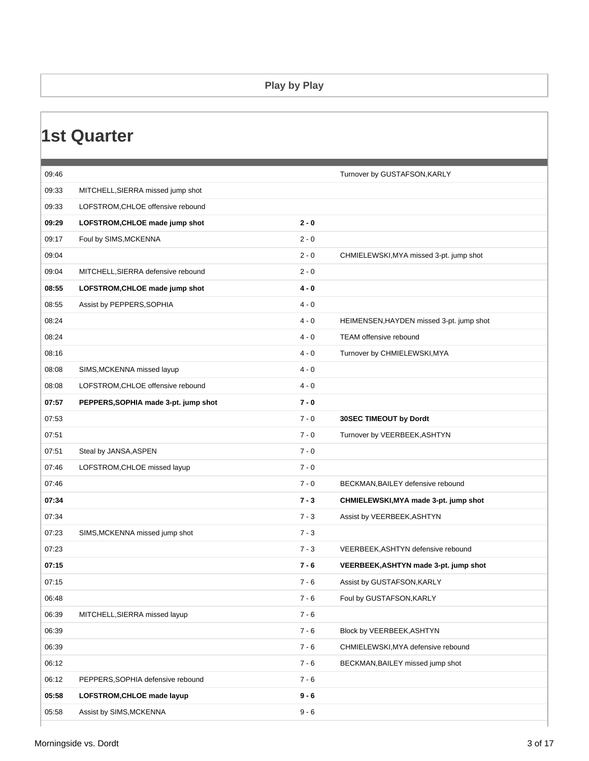#### **Play by Play**

### **1st Quarter**

| 09:46 |                                      |         | Turnover by GUSTAFSON, KARLY             |
|-------|--------------------------------------|---------|------------------------------------------|
| 09:33 | MITCHELL, SIERRA missed jump shot    |         |                                          |
| 09:33 | LOFSTROM, CHLOE offensive rebound    |         |                                          |
| 09:29 | LOFSTROM, CHLOE made jump shot       | $2 - 0$ |                                          |
| 09:17 | Foul by SIMS, MCKENNA                | $2 - 0$ |                                          |
| 09:04 |                                      | $2 - 0$ | CHMIELEWSKI, MYA missed 3-pt. jump shot  |
| 09:04 | MITCHELL, SIERRA defensive rebound   | $2 - 0$ |                                          |
| 08:55 | LOFSTROM, CHLOE made jump shot       | $4 - 0$ |                                          |
| 08:55 | Assist by PEPPERS, SOPHIA            | $4 - 0$ |                                          |
| 08:24 |                                      | $4 - 0$ | HEIMENSEN, HAYDEN missed 3-pt. jump shot |
| 08:24 |                                      | $4 - 0$ | TEAM offensive rebound                   |
| 08:16 |                                      | $4 - 0$ | Turnover by CHMIELEWSKI, MYA             |
| 08:08 | SIMS, MCKENNA missed layup           | $4 - 0$ |                                          |
| 08:08 | LOFSTROM, CHLOE offensive rebound    | $4 - 0$ |                                          |
| 07:57 | PEPPERS, SOPHIA made 3-pt. jump shot | $7 - 0$ |                                          |
| 07:53 |                                      | $7 - 0$ | 30SEC TIMEOUT by Dordt                   |
| 07:51 |                                      | $7 - 0$ | Turnover by VEERBEEK, ASHTYN             |
| 07:51 | Steal by JANSA, ASPEN                | $7 - 0$ |                                          |
| 07:46 | LOFSTROM, CHLOE missed layup         | $7 - 0$ |                                          |
| 07:46 |                                      | $7 - 0$ | BECKMAN, BAILEY defensive rebound        |
| 07:34 |                                      | $7 - 3$ | CHMIELEWSKI, MYA made 3-pt. jump shot    |
| 07:34 |                                      | $7 - 3$ | Assist by VEERBEEK, ASHTYN               |
| 07:23 | SIMS, MCKENNA missed jump shot       | $7 - 3$ |                                          |
| 07:23 |                                      | $7 - 3$ | VEERBEEK, ASHTYN defensive rebound       |
| 07:15 |                                      | $7 - 6$ | VEERBEEK, ASHTYN made 3-pt. jump shot    |
| 07:15 |                                      | $7 - 6$ | Assist by GUSTAFSON, KARLY               |
| 06:48 |                                      | $7 - 6$ | Foul by GUSTAFSON, KARLY                 |
| 06:39 | MITCHELL, SIERRA missed layup        | $7 - 6$ |                                          |
| 06:39 |                                      | $7 - 6$ | Block by VEERBEEK, ASHTYN                |
| 06:39 |                                      | $7 - 6$ | CHMIELEWSKI, MYA defensive rebound       |
| 06:12 |                                      | $7 - 6$ | BECKMAN, BAILEY missed jump shot         |
| 06:12 | PEPPERS, SOPHIA defensive rebound    | $7 - 6$ |                                          |
| 05:58 | LOFSTROM, CHLOE made layup           | $9 - 6$ |                                          |
| 05:58 | Assist by SIMS, MCKENNA              | $9 - 6$ |                                          |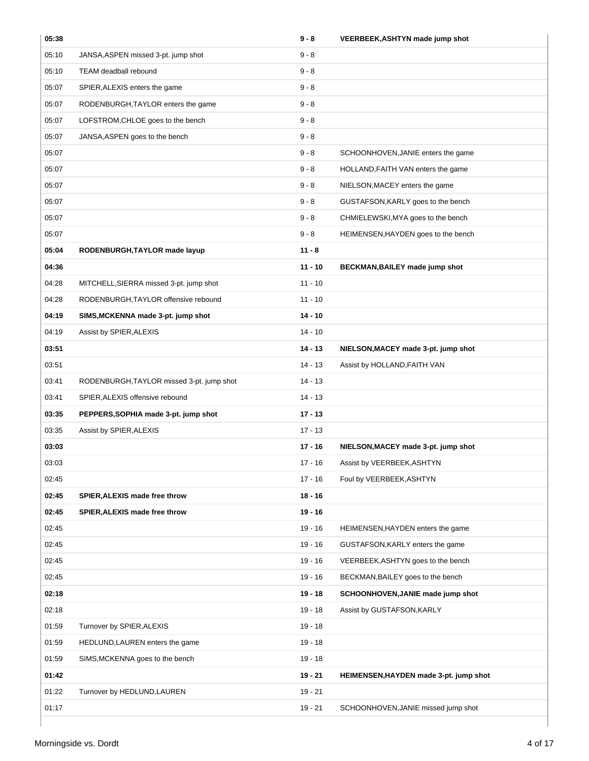| 05:38 |                                           | $9 - 8$   | VEERBEEK, ASHTYN made jump shot        |
|-------|-------------------------------------------|-----------|----------------------------------------|
| 05:10 | JANSA, ASPEN missed 3-pt. jump shot       | $9 - 8$   |                                        |
| 05:10 | TEAM deadball rebound                     | $9 - 8$   |                                        |
| 05:07 | SPIER, ALEXIS enters the game             | $9 - 8$   |                                        |
| 05:07 | RODENBURGH, TAYLOR enters the game        | $9 - 8$   |                                        |
| 05:07 | LOFSTROM, CHLOE goes to the bench         | $9 - 8$   |                                        |
| 05:07 | JANSA, ASPEN goes to the bench            | $9 - 8$   |                                        |
| 05:07 |                                           | $9 - 8$   | SCHOONHOVEN, JANIE enters the game     |
| 05:07 |                                           | $9 - 8$   | HOLLAND, FAITH VAN enters the game     |
| 05:07 |                                           | $9 - 8$   | NIELSON, MACEY enters the game         |
| 05:07 |                                           | $9 - 8$   | GUSTAFSON, KARLY goes to the bench     |
| 05:07 |                                           | $9 - 8$   | CHMIELEWSKI, MYA goes to the bench     |
| 05:07 |                                           | $9 - 8$   | HEIMENSEN, HAYDEN goes to the bench    |
| 05:04 | RODENBURGH, TAYLOR made layup             | $11 - 8$  |                                        |
| 04:36 |                                           | $11 - 10$ | BECKMAN, BAILEY made jump shot         |
| 04:28 | MITCHELL, SIERRA missed 3-pt. jump shot   | $11 - 10$ |                                        |
| 04:28 | RODENBURGH, TAYLOR offensive rebound      | $11 - 10$ |                                        |
| 04:19 | SIMS, MCKENNA made 3-pt. jump shot        | $14 - 10$ |                                        |
| 04:19 | Assist by SPIER, ALEXIS                   | $14 - 10$ |                                        |
| 03:51 |                                           | $14 - 13$ | NIELSON, MACEY made 3-pt. jump shot    |
| 03:51 |                                           | $14 - 13$ | Assist by HOLLAND, FAITH VAN           |
| 03:41 | RODENBURGH, TAYLOR missed 3-pt. jump shot | $14 - 13$ |                                        |
| 03:41 | SPIER, ALEXIS offensive rebound           | $14 - 13$ |                                        |
| 03:35 | PEPPERS, SOPHIA made 3-pt. jump shot      | $17 - 13$ |                                        |
| 03:35 | Assist by SPIER, ALEXIS                   | $17 - 13$ |                                        |
| 03:03 |                                           | $17 - 16$ | NIELSON, MACEY made 3-pt. jump shot    |
| 03:03 |                                           | 17 - 16   | Assist by VEERBEEK, ASHTYN             |
| 02:45 |                                           | 17 - 16   | Foul by VEERBEEK, ASHTYN               |
| 02:45 | SPIER, ALEXIS made free throw             | $18 - 16$ |                                        |
| 02:45 | SPIER, ALEXIS made free throw             | $19 - 16$ |                                        |
| 02:45 |                                           | $19 - 16$ | HEIMENSEN, HAYDEN enters the game      |
| 02:45 |                                           | $19 - 16$ | GUSTAFSON, KARLY enters the game       |
| 02:45 |                                           | $19 - 16$ | VEERBEEK, ASHTYN goes to the bench     |
| 02:45 |                                           | $19 - 16$ | BECKMAN, BAILEY goes to the bench      |
| 02:18 |                                           | $19 - 18$ | SCHOONHOVEN, JANIE made jump shot      |
| 02:18 |                                           | $19 - 18$ | Assist by GUSTAFSON, KARLY             |
| 01:59 | Turnover by SPIER, ALEXIS                 | $19 - 18$ |                                        |
| 01:59 | HEDLUND, LAUREN enters the game           | $19 - 18$ |                                        |
| 01:59 | SIMS, MCKENNA goes to the bench           | $19 - 18$ |                                        |
| 01:42 |                                           | $19 - 21$ | HEIMENSEN, HAYDEN made 3-pt. jump shot |
| 01:22 | Turnover by HEDLUND, LAUREN               | $19 - 21$ |                                        |
| 01:17 |                                           | $19 - 21$ | SCHOONHOVEN, JANIE missed jump shot    |
|       |                                           |           |                                        |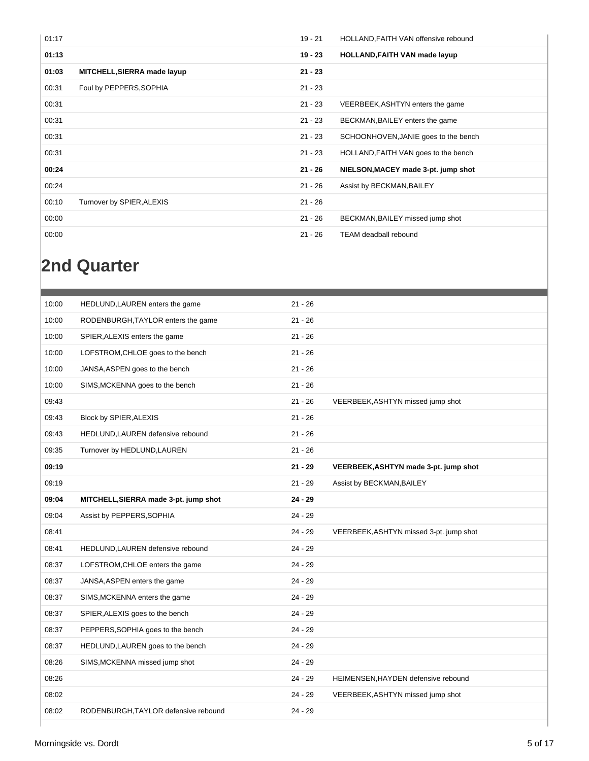| 01:17 |                             | $19 - 21$ | HOLLAND, FAITH VAN offensive rebound |
|-------|-----------------------------|-----------|--------------------------------------|
| 01:13 |                             | $19 - 23$ | <b>HOLLAND, FAITH VAN made layup</b> |
| 01:03 | MITCHELL, SIERRA made layup | $21 - 23$ |                                      |
| 00:31 | Foul by PEPPERS, SOPHIA     | $21 - 23$ |                                      |
| 00:31 |                             | $21 - 23$ | VEERBEEK, ASHTYN enters the game     |
| 00:31 |                             | $21 - 23$ | BECKMAN, BAILEY enters the game      |
| 00:31 |                             | $21 - 23$ | SCHOONHOVEN, JANIE goes to the bench |
| 00:31 |                             | $21 - 23$ | HOLLAND, FAITH VAN goes to the bench |
| 00:24 |                             | $21 - 26$ | NIELSON, MACEY made 3-pt. jump shot  |
| 00:24 |                             | $21 - 26$ | Assist by BECKMAN, BAILEY            |
| 00:10 | Turnover by SPIER, ALEXIS   | $21 - 26$ |                                      |
| 00:00 |                             | $21 - 26$ | BECKMAN, BAILEY missed jump shot     |
| 00:00 |                             | $21 - 26$ | <b>TEAM</b> deadball rebound         |

### **2nd Quarter**

| 10:00 | HEDLUND, LAUREN enters the game       | $21 - 26$ |                                         |
|-------|---------------------------------------|-----------|-----------------------------------------|
| 10:00 | RODENBURGH, TAYLOR enters the game    | $21 - 26$ |                                         |
| 10:00 | SPIER, ALEXIS enters the game         | $21 - 26$ |                                         |
| 10:00 | LOFSTROM, CHLOE goes to the bench     | $21 - 26$ |                                         |
| 10:00 | JANSA, ASPEN goes to the bench        | $21 - 26$ |                                         |
| 10:00 | SIMS, MCKENNA goes to the bench       | $21 - 26$ |                                         |
| 09:43 |                                       | $21 - 26$ | VEERBEEK, ASHTYN missed jump shot       |
| 09:43 | Block by SPIER, ALEXIS                | $21 - 26$ |                                         |
| 09:43 | HEDLUND, LAUREN defensive rebound     | $21 - 26$ |                                         |
| 09:35 | Turnover by HEDLUND, LAUREN           | $21 - 26$ |                                         |
| 09:19 |                                       | $21 - 29$ | VEERBEEK, ASHTYN made 3-pt. jump shot   |
| 09:19 |                                       | $21 - 29$ | Assist by BECKMAN, BAILEY               |
| 09:04 | MITCHELL, SIERRA made 3-pt. jump shot | $24 - 29$ |                                         |
| 09:04 | Assist by PEPPERS, SOPHIA             | $24 - 29$ |                                         |
| 08:41 |                                       | $24 - 29$ | VEERBEEK, ASHTYN missed 3-pt. jump shot |
| 08:41 | HEDLUND, LAUREN defensive rebound     | $24 - 29$ |                                         |
| 08:37 | LOFSTROM, CHLOE enters the game       | $24 - 29$ |                                         |
| 08:37 | JANSA, ASPEN enters the game          | $24 - 29$ |                                         |
| 08:37 | SIMS, MCKENNA enters the game         | $24 - 29$ |                                         |
| 08:37 | SPIER, ALEXIS goes to the bench       | $24 - 29$ |                                         |
| 08:37 | PEPPERS, SOPHIA goes to the bench     | $24 - 29$ |                                         |
| 08:37 | HEDLUND, LAUREN goes to the bench     | $24 - 29$ |                                         |
| 08:26 | SIMS, MCKENNA missed jump shot        | $24 - 29$ |                                         |
| 08:26 |                                       | 24 - 29   | HEIMENSEN, HAYDEN defensive rebound     |
| 08:02 |                                       | $24 - 29$ | VEERBEEK, ASHTYN missed jump shot       |
| 08:02 | RODENBURGH, TAYLOR defensive rebound  | 24 - 29   |                                         |
|       |                                       |           |                                         |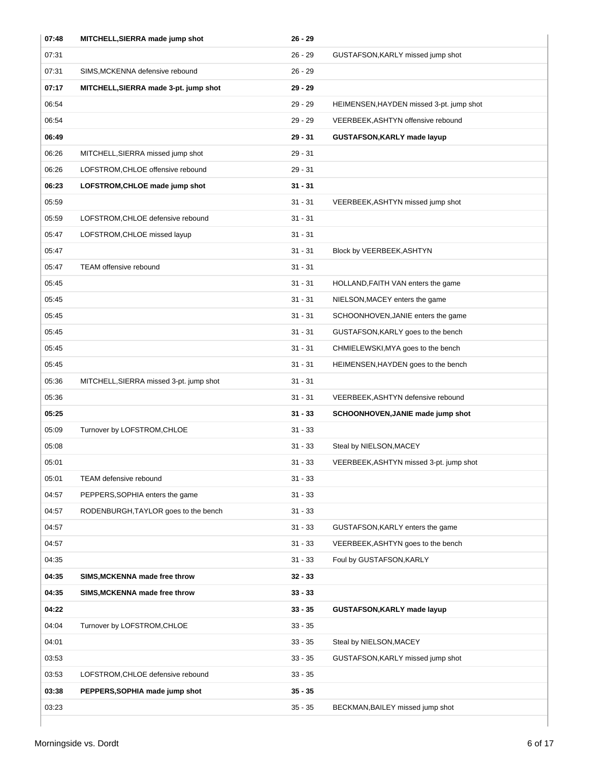| 07:48 | MITCHELL, SIERRA made jump shot         | 26 - 29   |                                          |
|-------|-----------------------------------------|-----------|------------------------------------------|
| 07:31 |                                         | $26 - 29$ | GUSTAFSON, KARLY missed jump shot        |
| 07:31 | SIMS, MCKENNA defensive rebound         | $26 - 29$ |                                          |
| 07:17 | MITCHELL, SIERRA made 3-pt. jump shot   | $29 - 29$ |                                          |
| 06:54 |                                         | $29 - 29$ | HEIMENSEN, HAYDEN missed 3-pt. jump shot |
| 06:54 |                                         | $29 - 29$ | VEERBEEK, ASHTYN offensive rebound       |
| 06:49 |                                         | $29 - 31$ | GUSTAFSON, KARLY made layup              |
| 06:26 | MITCHELL, SIERRA missed jump shot       | $29 - 31$ |                                          |
| 06:26 | LOFSTROM, CHLOE offensive rebound       | $29 - 31$ |                                          |
| 06:23 | LOFSTROM, CHLOE made jump shot          | $31 - 31$ |                                          |
| 05:59 |                                         | $31 - 31$ | VEERBEEK, ASHTYN missed jump shot        |
| 05:59 | LOFSTROM, CHLOE defensive rebound       | $31 - 31$ |                                          |
| 05:47 | LOFSTROM, CHLOE missed layup            | $31 - 31$ |                                          |
| 05:47 |                                         | $31 - 31$ | Block by VEERBEEK, ASHTYN                |
| 05:47 | TEAM offensive rebound                  | $31 - 31$ |                                          |
| 05:45 |                                         | $31 - 31$ | HOLLAND, FAITH VAN enters the game       |
| 05:45 |                                         | $31 - 31$ | NIELSON, MACEY enters the game           |
| 05:45 |                                         | $31 - 31$ | SCHOONHOVEN, JANIE enters the game       |
| 05:45 |                                         | $31 - 31$ | GUSTAFSON, KARLY goes to the bench       |
| 05:45 |                                         | 31 - 31   | CHMIELEWSKI, MYA goes to the bench       |
| 05:45 |                                         | $31 - 31$ | HEIMENSEN, HAYDEN goes to the bench      |
| 05:36 | MITCHELL, SIERRA missed 3-pt. jump shot | $31 - 31$ |                                          |
| 05:36 |                                         | $31 - 31$ | VEERBEEK, ASHTYN defensive rebound       |
|       |                                         |           |                                          |
| 05:25 |                                         | $31 - 33$ | SCHOONHOVEN, JANIE made jump shot        |
| 05:09 | Turnover by LOFSTROM, CHLOE             | $31 - 33$ |                                          |
| 05:08 |                                         | $31 - 33$ | Steal by NIELSON, MACEY                  |
| 05:01 |                                         | $31 - 33$ | VEERBEEK, ASHTYN missed 3-pt. jump shot  |
| 05:01 | TEAM defensive rebound                  | 31 - 33   |                                          |
| 04:57 | PEPPERS, SOPHIA enters the game         | $31 - 33$ |                                          |
| 04:57 | RODENBURGH, TAYLOR goes to the bench    | $31 - 33$ |                                          |
| 04:57 |                                         | 31 - 33   | GUSTAFSON, KARLY enters the game         |
| 04:57 |                                         | $31 - 33$ | VEERBEEK, ASHTYN goes to the bench       |
| 04:35 |                                         | 31 - 33   | Foul by GUSTAFSON, KARLY                 |
| 04:35 | SIMS, MCKENNA made free throw           | 32 - 33   |                                          |
| 04:35 | SIMS, MCKENNA made free throw           | $33 - 33$ |                                          |
| 04:22 |                                         | 33 - 35   | GUSTAFSON, KARLY made layup              |
| 04:04 | Turnover by LOFSTROM, CHLOE             | 33 - 35   |                                          |
| 04:01 |                                         | 33 - 35   | Steal by NIELSON, MACEY                  |
| 03:53 |                                         | 33 - 35   | GUSTAFSON, KARLY missed jump shot        |
| 03:53 | LOFSTROM, CHLOE defensive rebound       | 33 - 35   |                                          |
| 03:38 | PEPPERS, SOPHIA made jump shot          | $35 - 35$ |                                          |
| 03:23 |                                         | 35 - 35   | BECKMAN, BAILEY missed jump shot         |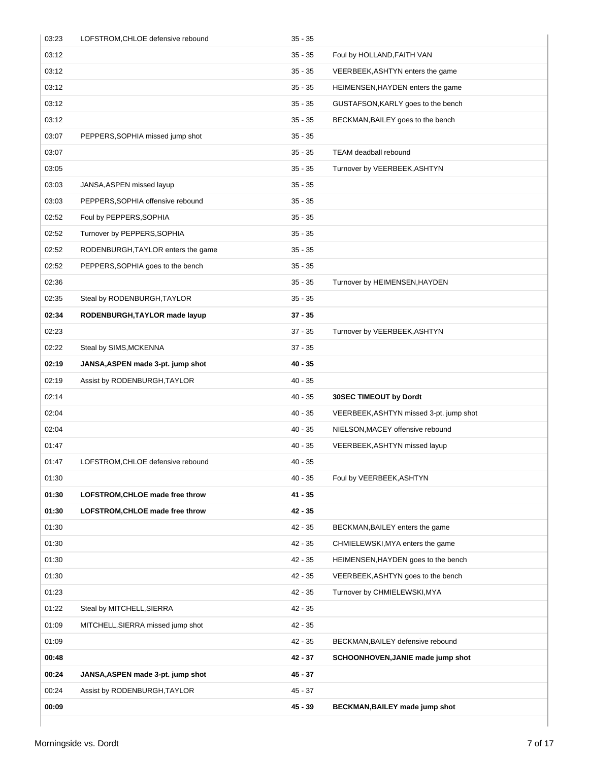| 03:23 | LOFSTROM, CHLOE defensive rebound  | $35 - 35$ |                                         |
|-------|------------------------------------|-----------|-----------------------------------------|
| 03:12 |                                    | $35 - 35$ | Foul by HOLLAND, FAITH VAN              |
| 03:12 |                                    | 35 - 35   | VEERBEEK, ASHTYN enters the game        |
| 03:12 |                                    | $35 - 35$ | HEIMENSEN, HAYDEN enters the game       |
| 03:12 |                                    | $35 - 35$ | GUSTAFSON, KARLY goes to the bench      |
| 03:12 |                                    | $35 - 35$ | BECKMAN, BAILEY goes to the bench       |
| 03:07 | PEPPERS, SOPHIA missed jump shot   | $35 - 35$ |                                         |
| 03:07 |                                    | $35 - 35$ | TEAM deadball rebound                   |
| 03:05 |                                    | 35 - 35   | Turnover by VEERBEEK, ASHTYN            |
| 03:03 | JANSA, ASPEN missed layup          | 35 - 35   |                                         |
| 03:03 | PEPPERS, SOPHIA offensive rebound  | $35 - 35$ |                                         |
| 02:52 | Foul by PEPPERS, SOPHIA            | $35 - 35$ |                                         |
| 02:52 | Turnover by PEPPERS, SOPHIA        | $35 - 35$ |                                         |
| 02:52 | RODENBURGH, TAYLOR enters the game | 35 - 35   |                                         |
| 02:52 | PEPPERS, SOPHIA goes to the bench  | $35 - 35$ |                                         |
| 02:36 |                                    | 35 - 35   | Turnover by HEIMENSEN, HAYDEN           |
| 02:35 | Steal by RODENBURGH, TAYLOR        | $35 - 35$ |                                         |
| 02:34 | RODENBURGH, TAYLOR made layup      | $37 - 35$ |                                         |
| 02:23 |                                    | 37 - 35   | Turnover by VEERBEEK, ASHTYN            |
| 02:22 | Steal by SIMS, MCKENNA             | $37 - 35$ |                                         |
| 02:19 | JANSA, ASPEN made 3-pt. jump shot  | $40 - 35$ |                                         |
| 02:19 | Assist by RODENBURGH, TAYLOR       | $40 - 35$ |                                         |
| 02:14 |                                    | $40 - 35$ | 30SEC TIMEOUT by Dordt                  |
| 02:04 |                                    | $40 - 35$ | VEERBEEK, ASHTYN missed 3-pt. jump shot |
| 02:04 |                                    | $40 - 35$ | NIELSON, MACEY offensive rebound        |
| 01:47 |                                    | 40 - 35   | VEERBEEK, ASHTYN missed layup           |
| 01:47 | LOFSTROM, CHLOE defensive rebound  | $40 - 35$ |                                         |
| 01:30 |                                    | $40 - 35$ | Foul by VEERBEEK, ASHTYN                |
| 01:30 | LOFSTROM, CHLOE made free throw    | 41 - 35   |                                         |
| 01:30 | LOFSTROM, CHLOE made free throw    | $42 - 35$ |                                         |
| 01:30 |                                    | 42 - 35   | BECKMAN, BAILEY enters the game         |
| 01:30 |                                    | $42 - 35$ | CHMIELEWSKI, MYA enters the game        |
| 01:30 |                                    | 42 - 35   | HEIMENSEN, HAYDEN goes to the bench     |
| 01:30 |                                    | $42 - 35$ | VEERBEEK, ASHTYN goes to the bench      |
| 01:23 |                                    | 42 - 35   | Turnover by CHMIELEWSKI, MYA            |
| 01:22 | Steal by MITCHELL, SIERRA          | 42 - 35   |                                         |
| 01:09 | MITCHELL, SIERRA missed jump shot  | $42 - 35$ |                                         |
| 01:09 |                                    | 42 - 35   | BECKMAN, BAILEY defensive rebound       |
| 00:48 |                                    | 42 - 37   | SCHOONHOVEN, JANIE made jump shot       |
| 00:24 | JANSA, ASPEN made 3-pt. jump shot  | 45 - 37   |                                         |
| 00:24 | Assist by RODENBURGH, TAYLOR       | 45 - 37   |                                         |
| 00:09 |                                    | 45 - 39   | BECKMAN, BAILEY made jump shot          |
|       |                                    |           |                                         |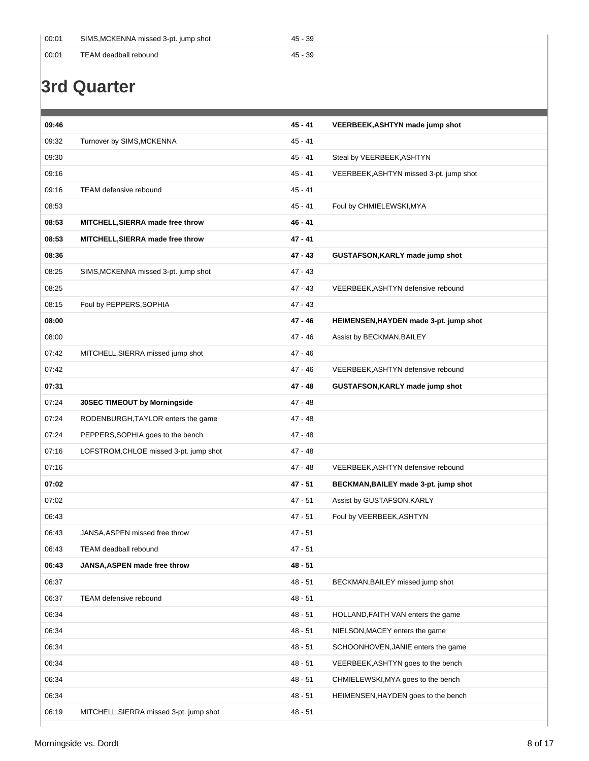| $^{\circ}$ 00:01 | SIMS, MCKENNA missed 3-pt. jump shot | 45 - 39 |
|------------------|--------------------------------------|---------|
| 00:01            | TEAM deadball rebound                | 45 - 39 |

### **3rd Quarter**

| 09:46 |                                         | $45 - 41$ | <b>VEERBEEK, ASHTYN made jump shot</b>  |
|-------|-----------------------------------------|-----------|-----------------------------------------|
| 09:32 | Turnover by SIMS, MCKENNA               | 45 - 41   |                                         |
| 09:30 |                                         | $45 - 41$ | Steal by VEERBEEK, ASHTYN               |
| 09:16 |                                         | $45 - 41$ | VEERBEEK, ASHTYN missed 3-pt. jump shot |
| 09:16 | <b>TEAM</b> defensive rebound           | 45 - 41   |                                         |
| 08:53 |                                         | 45 - 41   | Foul by CHMIELEWSKI, MYA                |
| 08:53 | MITCHELL, SIERRA made free throw        | $46 - 41$ |                                         |
| 08:53 | MITCHELL, SIERRA made free throw        | 47 - 41   |                                         |
| 08:36 |                                         | $47 - 43$ | GUSTAFSON, KARLY made jump shot         |
| 08:25 | SIMS, MCKENNA missed 3-pt. jump shot    | 47 - 43   |                                         |
| 08:25 |                                         | 47 - 43   | VEERBEEK, ASHTYN defensive rebound      |
| 08:15 | Foul by PEPPERS, SOPHIA                 | $47 - 43$ |                                         |
| 08:00 |                                         | 47 - 46   | HEIMENSEN, HAYDEN made 3-pt. jump shot  |
| 08:00 |                                         | $47 - 46$ | Assist by BECKMAN, BAILEY               |
| 07:42 | MITCHELL, SIERRA missed jump shot       | 47 - 46   |                                         |
| 07:42 |                                         | 47 - 46   | VEERBEEK, ASHTYN defensive rebound      |
| 07:31 |                                         | 47 - 48   | GUSTAFSON, KARLY made jump shot         |
| 07:24 | 30SEC TIMEOUT by Morningside            | 47 - 48   |                                         |
| 07:24 | RODENBURGH, TAYLOR enters the game      | 47 - 48   |                                         |
| 07:24 | PEPPERS, SOPHIA goes to the bench       | 47 - 48   |                                         |
| 07:16 | LOFSTROM, CHLOE missed 3-pt. jump shot  | $47 - 48$ |                                         |
| 07:16 |                                         | 47 - 48   | VEERBEEK, ASHTYN defensive rebound      |
| 07:02 |                                         | 47 - 51   | BECKMAN, BAILEY made 3-pt. jump shot    |
| 07:02 |                                         | $47 - 51$ | Assist by GUSTAFSON, KARLY              |
| 06:43 |                                         | $47 - 51$ | Foul by VEERBEEK, ASHTYN                |
| 06:43 | JANSA, ASPEN missed free throw          | 47 - 51   |                                         |
| 06:43 | TEAM deadball rebound                   | 47 - 51   |                                         |
| 06:43 | JANSA, ASPEN made free throw            | $48 - 51$ |                                         |
| 06:37 |                                         | $48 - 51$ | BECKMAN, BAILEY missed jump shot        |
| 06:37 | TEAM defensive rebound                  | $48 - 51$ |                                         |
| 06:34 |                                         | $48 - 51$ | HOLLAND, FAITH VAN enters the game      |
| 06:34 |                                         | 48 - 51   | NIELSON, MACEY enters the game          |
| 06:34 |                                         | 48 - 51   | SCHOONHOVEN, JANIE enters the game      |
| 06:34 |                                         | $48 - 51$ | VEERBEEK, ASHTYN goes to the bench      |
| 06:34 |                                         | 48 - 51   | CHMIELEWSKI, MYA goes to the bench      |
| 06:34 |                                         | 48 - 51   | HEIMENSEN, HAYDEN goes to the bench     |
| 06:19 | MITCHELL, SIERRA missed 3-pt. jump shot | 48 - 51   |                                         |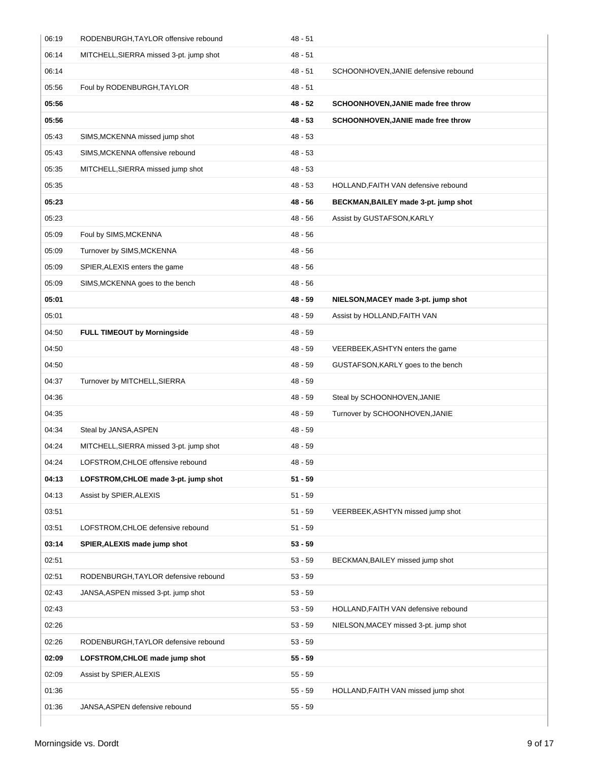| 06:19 | RODENBURGH, TAYLOR offensive rebound    | $48 - 51$ |                                       |
|-------|-----------------------------------------|-----------|---------------------------------------|
| 06:14 | MITCHELL, SIERRA missed 3-pt. jump shot | 48 - 51   |                                       |
| 06:14 |                                         | $48 - 51$ | SCHOONHOVEN, JANIE defensive rebound  |
| 05:56 | Foul by RODENBURGH, TAYLOR              | 48 - 51   |                                       |
| 05:56 |                                         | $48 - 52$ | SCHOONHOVEN, JANIE made free throw    |
| 05:56 |                                         | 48 - 53   | SCHOONHOVEN, JANIE made free throw    |
| 05:43 | SIMS, MCKENNA missed jump shot          | 48 - 53   |                                       |
| 05:43 | SIMS, MCKENNA offensive rebound         | 48 - 53   |                                       |
| 05:35 | MITCHELL, SIERRA missed jump shot       | $48 - 53$ |                                       |
| 05:35 |                                         | $48 - 53$ | HOLLAND, FAITH VAN defensive rebound  |
| 05:23 |                                         | 48 - 56   | BECKMAN, BAILEY made 3-pt. jump shot  |
| 05:23 |                                         | 48 - 56   | Assist by GUSTAFSON, KARLY            |
| 05:09 | Foul by SIMS, MCKENNA                   | $48 - 56$ |                                       |
| 05:09 | Turnover by SIMS, MCKENNA               | 48 - 56   |                                       |
| 05:09 | SPIER, ALEXIS enters the game           | 48 - 56   |                                       |
| 05:09 | SIMS, MCKENNA goes to the bench         | $48 - 56$ |                                       |
| 05:01 |                                         | 48 - 59   | NIELSON, MACEY made 3-pt. jump shot   |
| 05:01 |                                         | 48 - 59   | Assist by HOLLAND, FAITH VAN          |
| 04:50 | <b>FULL TIMEOUT by Morningside</b>      | 48 - 59   |                                       |
| 04:50 |                                         | 48 - 59   | VEERBEEK, ASHTYN enters the game      |
| 04:50 |                                         | $48 - 59$ | GUSTAFSON, KARLY goes to the bench    |
| 04:37 | Turnover by MITCHELL, SIERRA            | $48 - 59$ |                                       |
| 04:36 |                                         | 48 - 59   | Steal by SCHOONHOVEN, JANIE           |
| 04:35 |                                         | 48 - 59   | Turnover by SCHOONHOVEN, JANIE        |
| 04:34 | Steal by JANSA, ASPEN                   | 48 - 59   |                                       |
| 04:24 | MITCHELL, SIERRA missed 3-pt. jump shot | 48 - 59   |                                       |
| 04:24 | LOFSTROM.CHLOE offensive rebound        | 48 - 59   |                                       |
| 04:13 | LOFSTROM, CHLOE made 3-pt. jump shot    | $51 - 59$ |                                       |
| 04:13 | Assist by SPIER, ALEXIS                 | $51 - 59$ |                                       |
| 03:51 |                                         | $51 - 59$ | VEERBEEK, ASHTYN missed jump shot     |
| 03:51 | LOFSTROM, CHLOE defensive rebound       | $51 - 59$ |                                       |
| 03:14 | SPIER, ALEXIS made jump shot            | $53 - 59$ |                                       |
| 02:51 |                                         | $53 - 59$ | BECKMAN, BAILEY missed jump shot      |
| 02:51 | RODENBURGH, TAYLOR defensive rebound    | $53 - 59$ |                                       |
| 02:43 | JANSA, ASPEN missed 3-pt. jump shot     | $53 - 59$ |                                       |
| 02:43 |                                         | $53 - 59$ | HOLLAND, FAITH VAN defensive rebound  |
| 02:26 |                                         | $53 - 59$ | NIELSON, MACEY missed 3-pt. jump shot |
| 02:26 | RODENBURGH, TAYLOR defensive rebound    | $53 - 59$ |                                       |
| 02:09 | LOFSTROM, CHLOE made jump shot          | $55 - 59$ |                                       |
| 02:09 | Assist by SPIER, ALEXIS                 | $55 - 59$ |                                       |
| 01:36 |                                         | $55 - 59$ | HOLLAND, FAITH VAN missed jump shot   |
| 01:36 | JANSA, ASPEN defensive rebound          | $55 - 59$ |                                       |
|       |                                         |           |                                       |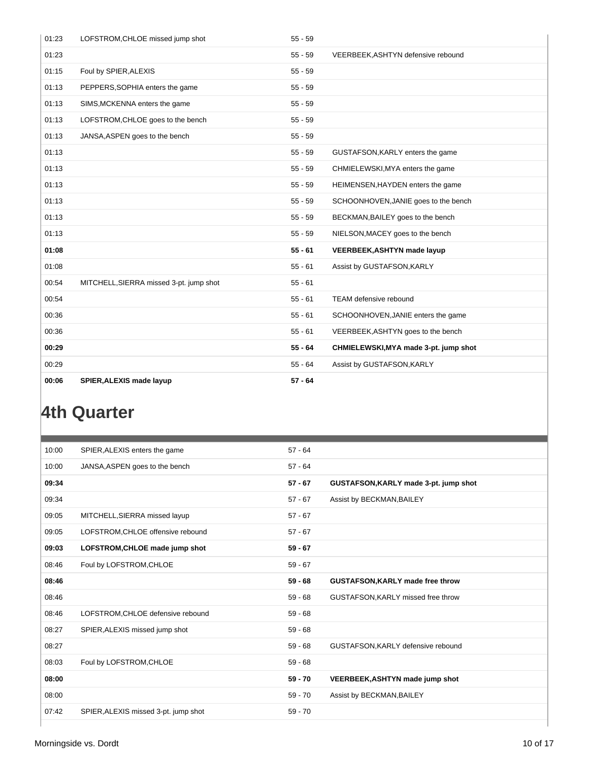| 01:23 | LOFSTROM, CHLOE missed jump shot        | $55 - 59$ |                                       |
|-------|-----------------------------------------|-----------|---------------------------------------|
| 01:23 |                                         | $55 - 59$ | VEERBEEK, ASHTYN defensive rebound    |
| 01:15 | Foul by SPIER, ALEXIS                   | $55 - 59$ |                                       |
| 01:13 | PEPPERS, SOPHIA enters the game         | $55 - 59$ |                                       |
| 01:13 | SIMS, MCKENNA enters the game           | $55 - 59$ |                                       |
| 01:13 | LOFSTROM, CHLOE goes to the bench       | $55 - 59$ |                                       |
| 01:13 | JANSA, ASPEN goes to the bench          | $55 - 59$ |                                       |
| 01:13 |                                         | $55 - 59$ | GUSTAFSON, KARLY enters the game      |
| 01:13 |                                         | $55 - 59$ | CHMIELEWSKI, MYA enters the game      |
| 01:13 |                                         | $55 - 59$ | HEIMENSEN, HAYDEN enters the game     |
| 01:13 |                                         | $55 - 59$ | SCHOONHOVEN, JANIE goes to the bench  |
| 01:13 |                                         | $55 - 59$ | BECKMAN, BAILEY goes to the bench     |
| 01:13 |                                         | $55 - 59$ | NIELSON, MACEY goes to the bench      |
| 01:08 |                                         | $55 - 61$ | <b>VEERBEEK, ASHTYN made layup</b>    |
| 01:08 |                                         | $55 - 61$ | Assist by GUSTAFSON, KARLY            |
| 00:54 | MITCHELL, SIERRA missed 3-pt. jump shot | $55 - 61$ |                                       |
| 00:54 |                                         | $55 - 61$ | <b>TEAM</b> defensive rebound         |
| 00:36 |                                         | $55 - 61$ | SCHOONHOVEN, JANIE enters the game    |
| 00:36 |                                         | $55 - 61$ | VEERBEEK, ASHTYN goes to the bench    |
| 00:29 |                                         | $55 - 64$ | CHMIELEWSKI, MYA made 3-pt. jump shot |
| 00:29 |                                         | $55 - 64$ | Assist by GUSTAFSON, KARLY            |
| 00:06 | SPIER, ALEXIS made layup                | $57 - 64$ |                                       |

## **4th Quarter**

| 10:00 | SPIER, ALEXIS enters the game        | $57 - 64$ |                                        |
|-------|--------------------------------------|-----------|----------------------------------------|
| 10:00 | JANSA, ASPEN goes to the bench       | $57 - 64$ |                                        |
| 09:34 |                                      | $57 - 67$ | GUSTAFSON, KARLY made 3-pt. jump shot  |
| 09:34 |                                      | $57 - 67$ | Assist by BECKMAN, BAILEY              |
| 09:05 | MITCHELL, SIERRA missed layup        | $57 - 67$ |                                        |
| 09:05 | LOFSTROM, CHLOE offensive rebound    | $57 - 67$ |                                        |
| 09:03 | LOFSTROM, CHLOE made jump shot       | $59 - 67$ |                                        |
| 08:46 | Foul by LOFSTROM, CHLOE              | $59 - 67$ |                                        |
| 08:46 |                                      | $59 - 68$ | GUSTAFSON, KARLY made free throw       |
| 08:46 |                                      | $59 - 68$ | GUSTAFSON, KARLY missed free throw     |
| 08:46 | LOFSTROM, CHLOE defensive rebound    | $59 - 68$ |                                        |
| 08:27 | SPIER, ALEXIS missed jump shot       | $59 - 68$ |                                        |
| 08:27 |                                      | $59 - 68$ | GUSTAFSON, KARLY defensive rebound     |
| 08:03 | Foul by LOFSTROM, CHLOE              | $59 - 68$ |                                        |
| 08:00 |                                      | $59 - 70$ | <b>VEERBEEK, ASHTYN made jump shot</b> |
| 08:00 |                                      | $59 - 70$ | Assist by BECKMAN, BAILEY              |
| 07:42 | SPIER, ALEXIS missed 3-pt. jump shot | $59 - 70$ |                                        |
|       |                                      |           |                                        |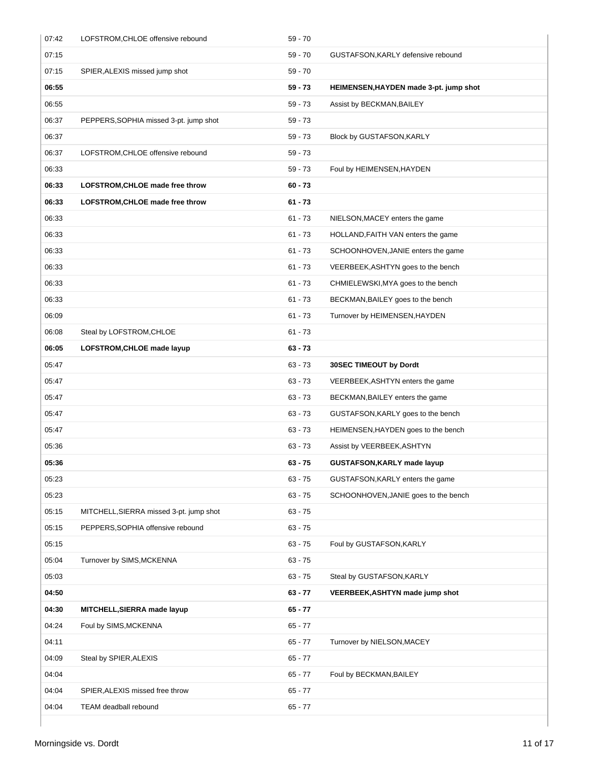| 07:42 | LOFSTROM, CHLOE offensive rebound       | $59 - 70$ |                                        |
|-------|-----------------------------------------|-----------|----------------------------------------|
| 07:15 |                                         | $59 - 70$ | GUSTAFSON, KARLY defensive rebound     |
| 07:15 | SPIER, ALEXIS missed jump shot          | 59 - 70   |                                        |
| 06:55 |                                         | 59 - 73   | HEIMENSEN, HAYDEN made 3-pt. jump shot |
| 06:55 |                                         | $59 - 73$ | Assist by BECKMAN, BAILEY              |
| 06:37 | PEPPERS, SOPHIA missed 3-pt. jump shot  | $59 - 73$ |                                        |
| 06:37 |                                         | 59 - 73   | Block by GUSTAFSON, KARLY              |
| 06:37 | LOFSTROM, CHLOE offensive rebound       | $59 - 73$ |                                        |
| 06:33 |                                         | 59 - 73   | Foul by HEIMENSEN, HAYDEN              |
| 06:33 | LOFSTROM, CHLOE made free throw         | $60 - 73$ |                                        |
| 06:33 | LOFSTROM, CHLOE made free throw         | $61 - 73$ |                                        |
| 06:33 |                                         | $61 - 73$ | NIELSON, MACEY enters the game         |
| 06:33 |                                         | $61 - 73$ | HOLLAND, FAITH VAN enters the game     |
| 06:33 |                                         | $61 - 73$ | SCHOONHOVEN, JANIE enters the game     |
| 06:33 |                                         | $61 - 73$ | VEERBEEK, ASHTYN goes to the bench     |
| 06:33 |                                         | $61 - 73$ | CHMIELEWSKI, MYA goes to the bench     |
| 06:33 |                                         | $61 - 73$ | BECKMAN, BAILEY goes to the bench      |
| 06:09 |                                         | $61 - 73$ | Turnover by HEIMENSEN, HAYDEN          |
| 06:08 | Steal by LOFSTROM, CHLOE                | $61 - 73$ |                                        |
| 06:05 | LOFSTROM, CHLOE made layup              | $63 - 73$ |                                        |
| 05:47 |                                         | $63 - 73$ | 30SEC TIMEOUT by Dordt                 |
| 05:47 |                                         | $63 - 73$ | VEERBEEK, ASHTYN enters the game       |
| 05:47 |                                         | $63 - 73$ | BECKMAN, BAILEY enters the game        |
| 05:47 |                                         | $63 - 73$ | GUSTAFSON, KARLY goes to the bench     |
| 05:47 |                                         | $63 - 73$ | HEIMENSEN, HAYDEN goes to the bench    |
| 05:36 |                                         | $63 - 73$ | Assist by VEERBEEK, ASHTYN             |
| 05:36 |                                         | 63 - 75   | GUSTAFSON, KARLY made layup            |
| 05:23 |                                         | $63 - 75$ | GUSTAFSON, KARLY enters the game       |
| 05:23 |                                         | $63 - 75$ | SCHOONHOVEN, JANIE goes to the bench   |
| 05:15 | MITCHELL, SIERRA missed 3-pt. jump shot | $63 - 75$ |                                        |
| 05:15 | PEPPERS, SOPHIA offensive rebound       | $63 - 75$ |                                        |
| 05:15 |                                         | $63 - 75$ | Foul by GUSTAFSON, KARLY               |
| 05:04 | Turnover by SIMS, MCKENNA               | $63 - 75$ |                                        |
| 05:03 |                                         | $63 - 75$ | Steal by GUSTAFSON, KARLY              |
| 04:50 |                                         | $63 - 77$ | VEERBEEK, ASHTYN made jump shot        |
| 04:30 | MITCHELL, SIERRA made layup             | $65 - 77$ |                                        |
| 04:24 | Foul by SIMS, MCKENNA                   | $65 - 77$ |                                        |
| 04:11 |                                         | $65 - 77$ | Turnover by NIELSON, MACEY             |
| 04:09 | Steal by SPIER, ALEXIS                  | $65 - 77$ |                                        |
| 04:04 |                                         | $65 - 77$ | Foul by BECKMAN, BAILEY                |
| 04:04 | SPIER, ALEXIS missed free throw         | $65 - 77$ |                                        |
| 04:04 | TEAM deadball rebound                   | $65 - 77$ |                                        |
|       |                                         |           |                                        |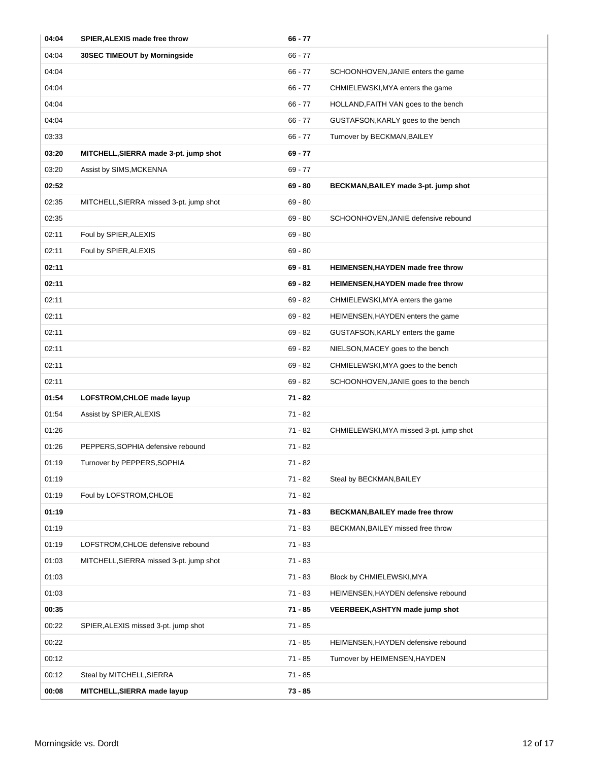| 04:04 | SPIER, ALEXIS made free throw           | $66 - 77$ |                                          |
|-------|-----------------------------------------|-----------|------------------------------------------|
| 04:04 | 30SEC TIMEOUT by Morningside            | $66 - 77$ |                                          |
| 04:04 |                                         | $66 - 77$ | SCHOONHOVEN, JANIE enters the game       |
| 04:04 |                                         | $66 - 77$ | CHMIELEWSKI, MYA enters the game         |
| 04:04 |                                         | $66 - 77$ | HOLLAND, FAITH VAN goes to the bench     |
| 04:04 |                                         | $66 - 77$ | GUSTAFSON, KARLY goes to the bench       |
| 03:33 |                                         | $66 - 77$ | Turnover by BECKMAN, BAILEY              |
| 03:20 | MITCHELL, SIERRA made 3-pt. jump shot   | $69 - 77$ |                                          |
| 03:20 | Assist by SIMS, MCKENNA                 | $69 - 77$ |                                          |
| 02:52 |                                         | $69 - 80$ | BECKMAN, BAILEY made 3-pt. jump shot     |
| 02:35 | MITCHELL, SIERRA missed 3-pt. jump shot | $69 - 80$ |                                          |
| 02:35 |                                         | $69 - 80$ | SCHOONHOVEN, JANIE defensive rebound     |
| 02:11 | Foul by SPIER, ALEXIS                   | $69 - 80$ |                                          |
| 02:11 | Foul by SPIER, ALEXIS                   | $69 - 80$ |                                          |
| 02:11 |                                         | $69 - 81$ | <b>HEIMENSEN, HAYDEN made free throw</b> |
| 02:11 |                                         | $69 - 82$ | <b>HEIMENSEN, HAYDEN made free throw</b> |
| 02:11 |                                         | $69 - 82$ | CHMIELEWSKI, MYA enters the game         |
| 02:11 |                                         | $69 - 82$ | HEIMENSEN, HAYDEN enters the game        |
| 02:11 |                                         | $69 - 82$ | GUSTAFSON, KARLY enters the game         |
| 02:11 |                                         | $69 - 82$ | NIELSON, MACEY goes to the bench         |
| 02:11 |                                         | $69 - 82$ | CHMIELEWSKI, MYA goes to the bench       |
| 02:11 |                                         | $69 - 82$ | SCHOONHOVEN, JANIE goes to the bench     |
| 01:54 | LOFSTROM, CHLOE made layup              | $71 - 82$ |                                          |
| 01:54 | Assist by SPIER, ALEXIS                 | $71 - 82$ |                                          |
| 01:26 |                                         | $71 - 82$ | CHMIELEWSKI, MYA missed 3-pt. jump shot  |
| 01:26 | PEPPERS, SOPHIA defensive rebound       | $71 - 82$ |                                          |
| 01:19 | Turnover by PEPPERS, SOPHIA             | 71 - 82   |                                          |
| 01:19 |                                         | $71 - 82$ | Steal by BECKMAN, BAILEY                 |
| 01:19 | Foul by LOFSTROM, CHLOE                 | $71 - 82$ |                                          |
| 01:19 |                                         | $71 - 83$ | <b>BECKMAN, BAILEY made free throw</b>   |
| 01:19 |                                         | $71 - 83$ | BECKMAN, BAILEY missed free throw        |
| 01:19 | LOFSTROM, CHLOE defensive rebound       | $71 - 83$ |                                          |
| 01:03 | MITCHELL, SIERRA missed 3-pt. jump shot | $71 - 83$ |                                          |
| 01:03 |                                         | $71 - 83$ | Block by CHMIELEWSKI, MYA                |
| 01:03 |                                         | $71 - 83$ | HEIMENSEN, HAYDEN defensive rebound      |
| 00:35 |                                         | $71 - 85$ | <b>VEERBEEK, ASHTYN made jump shot</b>   |
| 00:22 | SPIER, ALEXIS missed 3-pt. jump shot    | $71 - 85$ |                                          |
| 00:22 |                                         | $71 - 85$ | HEIMENSEN, HAYDEN defensive rebound      |
| 00:12 |                                         | $71 - 85$ | Turnover by HEIMENSEN, HAYDEN            |
| 00:12 | Steal by MITCHELL, SIERRA               | $71 - 85$ |                                          |
| 00:08 | MITCHELL, SIERRA made layup             | $73 - 85$ |                                          |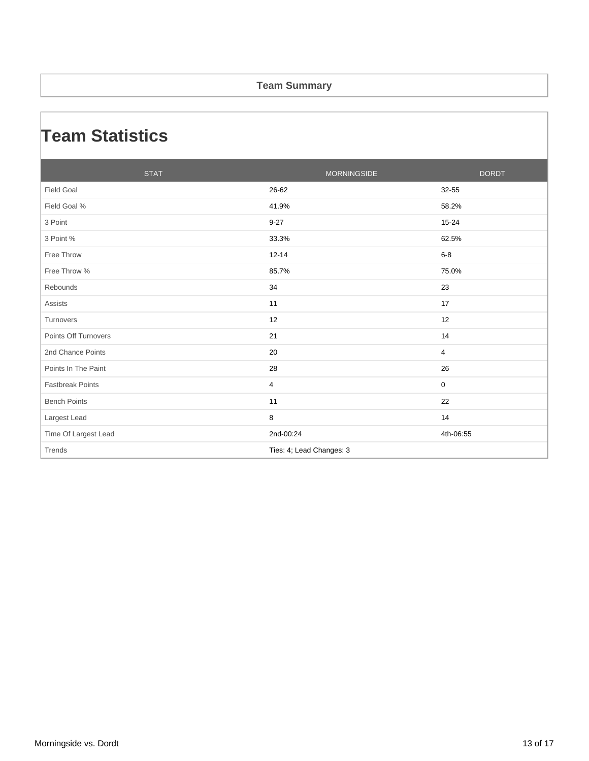#### **Team Summary**

### **Team Statistics**

| <b>STAT</b>             | <b>MORNINGSIDE</b>       | <b>DORDT</b> |
|-------------------------|--------------------------|--------------|
| <b>Field Goal</b>       | 26-62                    | 32-55        |
| Field Goal %            | 41.9%                    | 58.2%        |
| 3 Point                 | $9 - 27$                 | 15-24        |
| 3 Point %               | 33.3%                    | 62.5%        |
| Free Throw              | $12 - 14$                | $6-8$        |
| Free Throw %            | 85.7%                    | 75.0%        |
| Rebounds                | 34                       | 23           |
| <b>Assists</b>          | 11                       | 17           |
| Turnovers               | 12                       | 12           |
| Points Off Turnovers    | 21                       | 14           |
| 2nd Chance Points       | 20                       | 4            |
| Points In The Paint     | 28                       | 26           |
| <b>Fastbreak Points</b> | 4                        | 0            |
| <b>Bench Points</b>     | 11                       | 22           |
| Largest Lead            | 8                        | 14           |
| Time Of Largest Lead    | 2nd-00:24                | 4th-06:55    |
| Trends                  | Ties: 4; Lead Changes: 3 |              |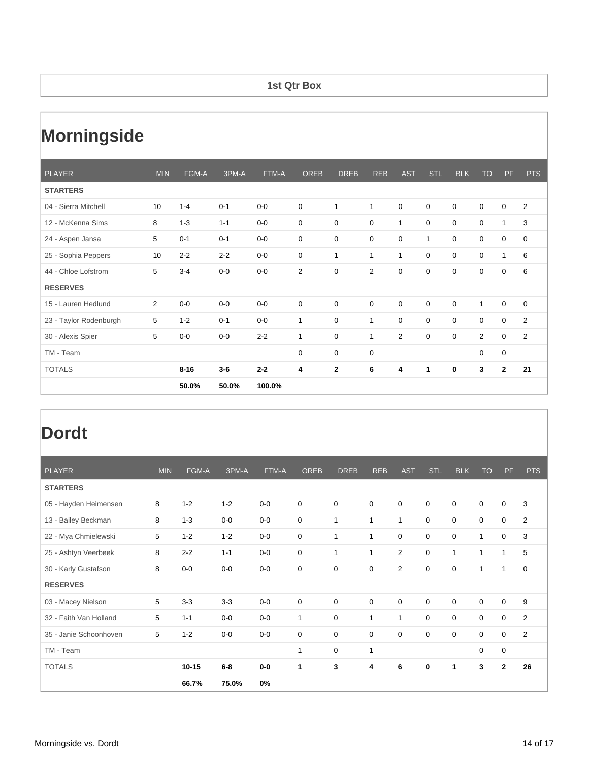#### **1st Qtr Box**

# **Morningside**

| <b>PLAYER</b>          | <b>MIN</b>     | FGM-A    | 3PM-A   | FTM-A   | <b>OREB</b>    | <b>DREB</b>  | <b>REB</b>     | <b>AST</b>     | <b>STL</b>   | <b>BLK</b>  | <b>TO</b> | <b>PF</b>      | <b>PTS</b>     |
|------------------------|----------------|----------|---------|---------|----------------|--------------|----------------|----------------|--------------|-------------|-----------|----------------|----------------|
| <b>STARTERS</b>        |                |          |         |         |                |              |                |                |              |             |           |                |                |
| 04 - Sierra Mitchell   | 10             | $1 - 4$  | $0 - 1$ | $0-0$   | $\mathbf 0$    | 1            | 1              | $\mathbf 0$    | $\mathbf 0$  | $\mathbf 0$ | 0         | $\mathbf 0$    | $\overline{2}$ |
| 12 - McKenna Sims      | 8              | $1 - 3$  | $1 - 1$ | $0-0$   | $\mathbf 0$    | 0            | $\mathbf 0$    | $\mathbf{1}$   | 0            | 0           | 0         | 1              | 3              |
| 24 - Aspen Jansa       | 5              | $0 - 1$  | $0 - 1$ | $0-0$   | 0              | $\mathbf 0$  | $\mathbf 0$    | 0              | $\mathbf{1}$ | $\mathbf 0$ | 0         | $\mathbf 0$    | 0              |
| 25 - Sophia Peppers    | 10             | $2 - 2$  | $2 - 2$ | $0-0$   | $\mathbf 0$    | 1            | 1              | $\mathbf{1}$   | 0            | 0           | 0         | 1              | 6              |
| 44 - Chloe Lofstrom    | 5              | $3 - 4$  | $0-0$   | $0-0$   | $\overline{2}$ | 0            | $\overline{2}$ | 0              | 0            | $\mathbf 0$ | 0         | $\mathbf 0$    | 6              |
| <b>RESERVES</b>        |                |          |         |         |                |              |                |                |              |             |           |                |                |
| 15 - Lauren Hedlund    | $\overline{2}$ | $0-0$    | $0-0$   | $0-0$   | $\mathbf 0$    | $\mathbf 0$  | $\mathbf 0$    | $\mathbf 0$    | 0            | $\mathbf 0$ | 1         | $\mathbf 0$    | 0              |
| 23 - Taylor Rodenburgh | 5              | $1 - 2$  | $0 - 1$ | $0-0$   | 1              | $\mathbf 0$  | 1              | $\mathbf 0$    | $\mathbf 0$  | $\mathbf 0$ | 0         | $\mathbf 0$    | $\overline{2}$ |
| 30 - Alexis Spier      | 5              | $0-0$    | $0-0$   | $2 - 2$ | 1              | $\mathbf 0$  | 1              | $\overline{2}$ | $\mathbf 0$  | $\mathbf 0$ | 2         | $\mathbf 0$    | $\overline{2}$ |
| TM - Team              |                |          |         |         | 0              | $\mathbf 0$  | $\mathbf 0$    |                |              |             | 0         | $\mathbf 0$    |                |
| <b>TOTALS</b>          |                | $8 - 16$ | $3-6$   | $2 - 2$ | 4              | $\mathbf{2}$ | 6              | 4              | 1            | 0           | 3         | $\overline{2}$ | 21             |
|                        |                | 50.0%    | 50.0%   | 100.0%  |                |              |                |                |              |             |           |                |                |

| <b>PLAYER</b>          | <b>MIN</b> | FGM-A     | 3PM-A   | FTM-A | <b>OREB</b> | <b>DREB</b>  | <b>REB</b>   | <b>AST</b>     | STL         | <b>BLK</b>  | <b>TO</b>    | <b>PF</b>    | <b>PTS</b>     |
|------------------------|------------|-----------|---------|-------|-------------|--------------|--------------|----------------|-------------|-------------|--------------|--------------|----------------|
| <b>STARTERS</b>        |            |           |         |       |             |              |              |                |             |             |              |              |                |
| 05 - Hayden Heimensen  | 8          | $1 - 2$   | $1 - 2$ | $0-0$ | 0           | $\mathbf 0$  | $\mathbf 0$  | $\mathbf 0$    | $\mathbf 0$ | $\mathbf 0$ | $\mathbf 0$  | 0            | 3              |
| 13 - Bailey Beckman    | 8          | $1 - 3$   | $0-0$   | $0-0$ | 0           | $\mathbf{1}$ | $\mathbf{1}$ | $\mathbf{1}$   | $\mathbf 0$ | $\mathbf 0$ | $\mathbf 0$  | 0            | 2              |
| 22 - Mya Chmielewski   | 5          | $1 - 2$   | $1 - 2$ | $0-0$ | 0           | $\mathbf 1$  | 1            | $\mathbf 0$    | $\mathbf 0$ | $\mathbf 0$ | $\mathbf{1}$ | 0            | 3              |
| 25 - Ashtyn Veerbeek   | 8          | $2 - 2$   | $1 - 1$ | $0-0$ | 0           | $\mathbf{1}$ | 1            | $\overline{2}$ | $\mathbf 0$ | 1           | 1            | 1            | 5              |
| 30 - Karly Gustafson   | 8          | $0-0$     | $0-0$   | $0-0$ | 0           | $\mathbf 0$  | 0            | $\overline{2}$ | $\mathbf 0$ | $\mathbf 0$ | 1            | $\mathbf 1$  | 0              |
| <b>RESERVES</b>        |            |           |         |       |             |              |              |                |             |             |              |              |                |
| 03 - Macey Nielson     | 5          | $3 - 3$   | $3-3$   | $0-0$ | 0           | $\mathbf 0$  | $\mathbf 0$  | $\mathbf 0$    | 0           | $\mathbf 0$ | $\mathbf 0$  | 0            | 9              |
| 32 - Faith Van Holland | 5          | $1 - 1$   | $0-0$   | $0-0$ | 1           | $\mathbf 0$  | $\mathbf{1}$ | $\mathbf{1}$   | $\Omega$    | $\mathbf 0$ | $\mathbf 0$  | 0            | $\overline{2}$ |
| 35 - Janie Schoonhoven | 5          | $1 - 2$   | $0-0$   | $0-0$ | 0           | $\mathbf 0$  | $\mathbf 0$  | $\mathbf 0$    | $\mathbf 0$ | $\mathbf 0$ | $\mathbf 0$  | 0            | 2              |
| TM - Team              |            |           |         |       | 1           | $\mathbf 0$  | 1            |                |             |             | $\mathbf 0$  | 0            |                |
| <b>TOTALS</b>          |            | $10 - 15$ | $6-8$   | $0-0$ | 1           | 3            | 4            | 6              | 0           | 1           | 3            | $\mathbf{2}$ | 26             |
|                        |            | 66.7%     | 75.0%   | 0%    |             |              |              |                |             |             |              |              |                |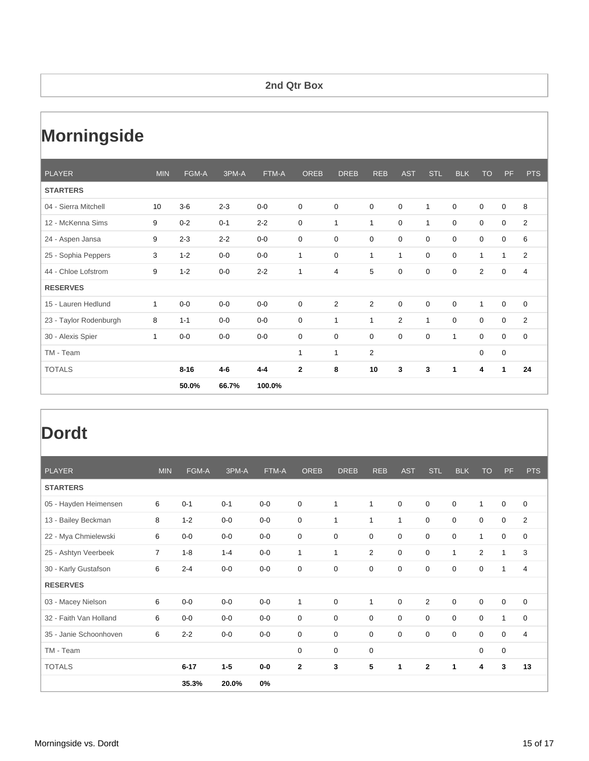#### **2nd Qtr Box**

# **Morningside**

| <b>PLAYER</b>          | <b>MIN</b>   | FGM-A    | 3PM-A   | FTM-A   | <b>OREB</b>  | <b>DREB</b>    | <b>REB</b>     | <b>AST</b>     | <b>STL</b>   | <b>BLK</b>   | <b>TO</b>   | <b>PF</b>    | <b>PTS</b>     |
|------------------------|--------------|----------|---------|---------|--------------|----------------|----------------|----------------|--------------|--------------|-------------|--------------|----------------|
| <b>STARTERS</b>        |              |          |         |         |              |                |                |                |              |              |             |              |                |
| 04 - Sierra Mitchell   | 10           | $3-6$    | $2 - 3$ | $0-0$   | 0            | 0              | $\mathbf 0$    | $\mathbf 0$    | $\mathbf{1}$ | $\mathbf 0$  | 0           | $\mathbf 0$  | 8              |
| 12 - McKenna Sims      | 9            | $0 - 2$  | $0 - 1$ | $2 - 2$ | $\mathbf 0$  | 1              | 1              | 0              | $\mathbf{1}$ | 0            | 0           | $\mathbf 0$  | $\overline{2}$ |
| 24 - Aspen Jansa       | 9            | $2 - 3$  | $2 - 2$ | $0-0$   | 0            | $\mathbf 0$    | $\mathbf 0$    | 0              | $\mathbf 0$  | $\mathbf 0$  | 0           | $\mathbf 0$  | 6              |
| 25 - Sophia Peppers    | 3            | $1 - 2$  | $0-0$   | $0-0$   | 1            | 0              | 1              | $\mathbf{1}$   | 0            | 0            | 1           | 1            | $\overline{2}$ |
| 44 - Chloe Lofstrom    | 9            | $1 - 2$  | $0-0$   | $2 - 2$ | $\mathbf{1}$ | $\overline{4}$ | 5              | 0              | 0            | $\mathbf 0$  | 2           | $\mathbf 0$  | $\overline{4}$ |
| <b>RESERVES</b>        |              |          |         |         |              |                |                |                |              |              |             |              |                |
| 15 - Lauren Hedlund    | $\mathbf{1}$ | $0-0$    | $0-0$   | $0-0$   | $\mathbf 0$  | $\overline{2}$ | 2              | $\mathbf 0$    | $\mathbf 0$  | $\mathbf 0$  | 1           | $\mathbf 0$  | 0              |
| 23 - Taylor Rodenburgh | 8            | $1 - 1$  | $0-0$   | $0-0$   | $\mathbf 0$  | $\mathbf{1}$   | 1              | $\overline{2}$ | $\mathbf{1}$ | $\mathbf 0$  | 0           | $\mathbf 0$  | $\overline{2}$ |
| 30 - Alexis Spier      | $\mathbf{1}$ | $0-0$    | $0-0$   | $0-0$   | $\mathbf 0$  | $\mathbf 0$    | $\mathbf 0$    | $\mathbf 0$    | $\mathbf 0$  | 1            | $\mathbf 0$ | $\mathbf 0$  | $\mathbf 0$    |
| TM - Team              |              |          |         |         | $\mathbf{1}$ | 1              | $\overline{2}$ |                |              |              | 0           | $\mathbf 0$  |                |
| <b>TOTALS</b>          |              | $8 - 16$ | $4 - 6$ | $4 - 4$ | $\mathbf{2}$ | 8              | 10             | 3              | 3            | $\mathbf{1}$ | 4           | $\mathbf{1}$ | 24             |
|                        |              | 50.0%    | 66.7%   | 100.0%  |              |                |                |                |              |              |             |              |                |

| <b>PLAYER</b>          | <b>MIN</b>     | FGM-A    | 3PM-A   | FTM-A | <b>OREB</b>  | <b>DREB</b>  | <b>REB</b>     | <b>AST</b>   | <b>STL</b>     | <b>BLK</b>  | <b>TO</b>      | <b>PF</b>    | <b>PTS</b>     |
|------------------------|----------------|----------|---------|-------|--------------|--------------|----------------|--------------|----------------|-------------|----------------|--------------|----------------|
| <b>STARTERS</b>        |                |          |         |       |              |              |                |              |                |             |                |              |                |
| 05 - Hayden Heimensen  | 6              | $0 - 1$  | $0 - 1$ | $0-0$ | 0            | $\mathbf{1}$ | 1              | $\mathbf 0$  | $\mathbf 0$    | $\mathbf 0$ | $\mathbf{1}$   | $\mathbf 0$  | $\mathbf 0$    |
| 13 - Bailey Beckman    | 8              | $1 - 2$  | $0-0$   | $0-0$ | 0            | $\mathbf{1}$ | $\mathbf{1}$   | $\mathbf{1}$ | $\mathbf 0$    | $\mathbf 0$ | $\mathbf 0$    | 0            | 2              |
| 22 - Mya Chmielewski   | 6              | $0-0$    | $0-0$   | $0-0$ | 0            | $\mathbf 0$  | $\mathbf 0$    | 0            | 0              | $\mathbf 0$ | 1              | 0            | $\mathbf 0$    |
| 25 - Ashtyn Veerbeek   | $\overline{7}$ | $1 - 8$  | $1 - 4$ | $0-0$ | 1            | $\mathbf{1}$ | $\overline{2}$ | $\mathbf 0$  | 0              | 1           | $\overline{2}$ | $\mathbf{1}$ | 3              |
| 30 - Karly Gustafson   | 6              | $2 - 4$  | $0-0$   | $0-0$ | 0            | $\mathbf 0$  | 0              | $\mathbf 0$  | $\mathbf 0$    | $\mathbf 0$ | $\mathbf 0$    | $\mathbf{1}$ | 4              |
| <b>RESERVES</b>        |                |          |         |       |              |              |                |              |                |             |                |              |                |
| 03 - Macey Nielson     | 6              | $0-0$    | $0-0$   | $0-0$ | 1            | $\mathbf 0$  | $\mathbf{1}$   | $\mathbf 0$  | $\overline{2}$ | $\mathbf 0$ | $\mathbf 0$    | 0            | $\mathbf 0$    |
| 32 - Faith Van Holland | 6              | $0-0$    | $0-0$   | $0-0$ | 0            | $\mathbf 0$  | $\mathbf 0$    | $\mathbf 0$  | $\Omega$       | $\Omega$    | $\mathbf 0$    | $\mathbf{1}$ | $\mathbf 0$    |
| 35 - Janie Schoonhoven | 6              | $2 - 2$  | $0-0$   | $0-0$ | 0            | $\mathbf 0$  | 0              | $\mathbf 0$  | $\mathbf 0$    | $\mathbf 0$ | $\mathbf 0$    | 0            | $\overline{4}$ |
| TM - Team              |                |          |         |       | 0            | 0            | 0              |              |                |             | 0              | 0            |                |
| <b>TOTALS</b>          |                | $6 - 17$ | $1 - 5$ | $0-0$ | $\mathbf{2}$ | 3            | 5              | 1            | $\mathbf{2}$   | 1           | 4              | 3            | 13             |
|                        |                | 35.3%    | 20.0%   | 0%    |              |              |                |              |                |             |                |              |                |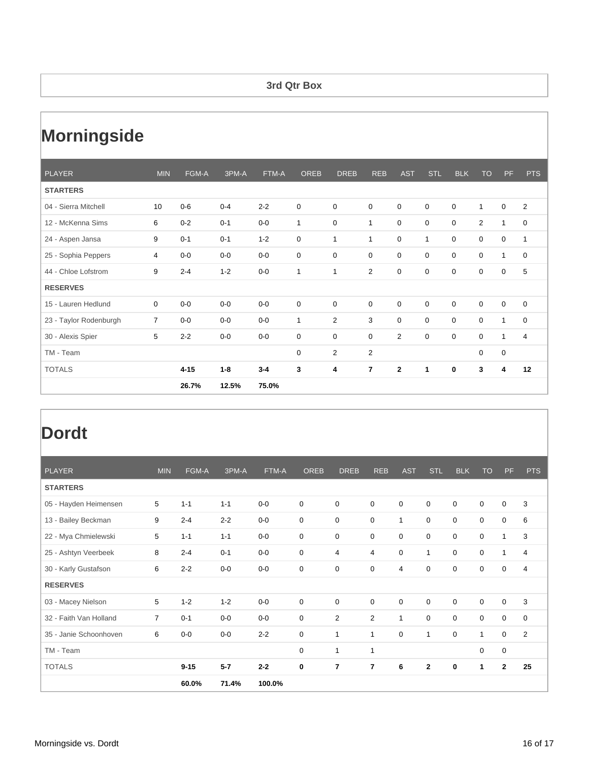#### **3rd Qtr Box**

# **Morningside**

| <b>PLAYER</b>          | <b>MIN</b>     | FGM-A    | 3PM-A   | FTM-A   | <b>OREB</b>  | <b>DREB</b>    | <b>REB</b>     | <b>AST</b>     | <b>STL</b>   | <b>BLK</b>  | <b>TO</b>      | <b>PF</b>               | <b>PTS</b>     |
|------------------------|----------------|----------|---------|---------|--------------|----------------|----------------|----------------|--------------|-------------|----------------|-------------------------|----------------|
| <b>STARTERS</b>        |                |          |         |         |              |                |                |                |              |             |                |                         |                |
| 04 - Sierra Mitchell   | 10             | $0-6$    | $0 - 4$ | $2 - 2$ | 0            | $\mathbf 0$    | $\mathbf 0$    | $\mathbf 0$    | $\mathbf 0$  | $\mathbf 0$ | $\mathbf 1$    | $\mathbf 0$             | 2              |
| 12 - McKenna Sims      | 6              | $0 - 2$  | $0 - 1$ | $0-0$   | $\mathbf{1}$ | $\mathbf 0$    | 1              | 0              | $\mathbf 0$  | 0           | $\overline{2}$ | $\mathbf{1}$            | 0              |
| 24 - Aspen Jansa       | 9              | $0 - 1$  | $0 - 1$ | $1 - 2$ | 0            | 1              | 1              | 0              | 1            | 0           | 0              | $\mathbf 0$             | $\mathbf{1}$   |
| 25 - Sophia Peppers    | 4              | $0-0$    | $0-0$   | $0-0$   | 0            | $\mathbf 0$    | 0              | 0              | $\mathbf 0$  | 0           | 0              | $\mathbf{1}$            | $\mathbf 0$    |
| 44 - Chloe Lofstrom    | 9              | $2 - 4$  | $1 - 2$ | $0-0$   | 1            | 1              | $\overline{2}$ | $\mathbf 0$    | $\mathbf 0$  | $\mathbf 0$ | 0              | 0                       | 5              |
| <b>RESERVES</b>        |                |          |         |         |              |                |                |                |              |             |                |                         |                |
| 15 - Lauren Hedlund    | $\mathbf 0$    | $0-0$    | $0-0$   | $0-0$   | 0            | $\mathbf 0$    | $\mathbf 0$    | $\mathbf 0$    | $\mathbf 0$  | $\mathbf 0$ | $\mathbf 0$    | $\mathbf 0$             | $\mathbf 0$    |
| 23 - Taylor Rodenburgh | $\overline{7}$ | $0-0$    | $0-0$   | $0-0$   | 1            | 2              | 3              | $\Omega$       | $\Omega$     | $\Omega$    | $\mathbf 0$    | $\mathbf{1}$            | $\mathbf 0$    |
| 30 - Alexis Spier      | 5              | $2 - 2$  | $0-0$   | $0-0$   | 0            | $\mathbf 0$    | 0              | $\overline{2}$ | $\mathbf 0$  | $\mathbf 0$ | $\mathbf 0$    | $\mathbf{1}$            | $\overline{4}$ |
| TM - Team              |                |          |         |         | 0            | $\overline{2}$ | $\overline{2}$ |                |              |             | 0              | 0                       |                |
| <b>TOTALS</b>          |                | $4 - 15$ | $1 - 8$ | $3 - 4$ | 3            | 4              | $\overline{7}$ | $\mathbf{2}$   | $\mathbf{1}$ | 0           | 3              | $\overline{\mathbf{4}}$ | 12             |
|                        |                | 26.7%    | 12.5%   | 75.0%   |              |                |                |                |              |             |                |                         |                |

| <b>PLAYER</b>          | <b>MIN</b>     | FGM-A    | 3PM-A   | FTM-A   | <b>OREB</b> | <b>DREB</b>    | <b>REB</b>     | <b>AST</b>  | STL          | <b>BLK</b>  | <b>TO</b>   | <b>PF</b>    | <b>PTS</b>     |
|------------------------|----------------|----------|---------|---------|-------------|----------------|----------------|-------------|--------------|-------------|-------------|--------------|----------------|
| <b>STARTERS</b>        |                |          |         |         |             |                |                |             |              |             |             |              |                |
| 05 - Hayden Heimensen  | 5              | $1 - 1$  | $1 - 1$ | $0-0$   | $\mathbf 0$ | $\mathbf 0$    | $\mathbf 0$    | $\mathbf 0$ | $\mathbf 0$  | $\mathbf 0$ | $\mathbf 0$ | 0            | 3              |
| 13 - Bailey Beckman    | 9              | $2 - 4$  | $2 - 2$ | $0-0$   | $\mathbf 0$ | 0              | $\mathbf 0$    | 1           | $\mathbf 0$  | $\mathbf 0$ | $\mathbf 0$ | 0            | 6              |
| 22 - Mya Chmielewski   | 5              | $1 - 1$  | $1 - 1$ | $0-0$   | $\mathbf 0$ | 0              | $\mathbf 0$    | $\mathbf 0$ | $\mathbf 0$  | $\mathbf 0$ | $\mathbf 0$ | $\mathbf{1}$ | 3              |
| 25 - Ashtyn Veerbeek   | 8              | $2 - 4$  | $0 - 1$ | $0-0$   | $\mathbf 0$ | 4              | $\overline{4}$ | $\mathbf 0$ | 1            | $\mathbf 0$ | 0           | $\mathbf{1}$ | $\overline{4}$ |
| 30 - Karly Gustafson   | 6              | $2 - 2$  | $0-0$   | $0-0$   | $\mathbf 0$ | 0              | $\mathbf 0$    | 4           | $\mathbf 0$  | $\mathbf 0$ | $\mathbf 0$ | 0            | 4              |
| <b>RESERVES</b>        |                |          |         |         |             |                |                |             |              |             |             |              |                |
| 03 - Macey Nielson     | 5              | $1 - 2$  | $1 - 2$ | $0-0$   | $\mathbf 0$ | $\mathbf 0$    | $\mathbf 0$    | $\mathbf 0$ | $\mathbf 0$  | 0           | $\mathbf 0$ | 0            | 3              |
| 32 - Faith Van Holland | $\overline{7}$ | $0 - 1$  | $0-0$   | $0-0$   | $\mathbf 0$ | $\overline{2}$ | $\overline{2}$ | 1           | $\Omega$     | $\Omega$    | $\mathbf 0$ | $\mathbf 0$  | $\mathbf 0$    |
| 35 - Janie Schoonhoven | 6              | $0-0$    | $0-0$   | $2 - 2$ | $\mathbf 0$ | $\mathbf 1$    | $\mathbf{1}$   | $\mathbf 0$ | 1            | $\mathbf 0$ | 1           | 0            | 2              |
| TM - Team              |                |          |         |         | $\mathbf 0$ | 1              | 1              |             |              |             | 0           | 0            |                |
| <b>TOTALS</b>          |                | $9 - 15$ | $5 - 7$ | $2 - 2$ | $\mathbf 0$ | 7              | $\overline{7}$ | 6           | $\mathbf{2}$ | 0           | 1           | $\mathbf{2}$ | 25             |
|                        |                | 60.0%    | 71.4%   | 100.0%  |             |                |                |             |              |             |             |              |                |